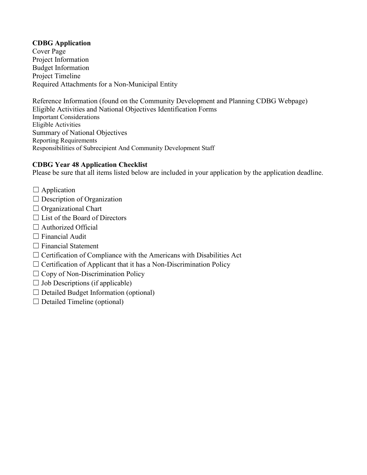# **CDBG Application**

Cover Page Project Information Budget Information Project Timeline Required Attachments for a Non-Municipal Entity

Reference Information (found on the Community Development and Planning CDBG Webpage) Eligible Activities and National Objectives Identification Forms Important Considerations Eligible Activities Summary of National Objectives Reporting Requirements Responsibilities of Subrecipient And Community Development Staff

### **CDBG Year 48 Application Checklist**

Please be sure that all items listed below are included in your application by the application deadline.

- $\Box$  Application
- $\Box$  Description of Organization
- $\Box$  Organizational Chart
- $\Box$  List of the Board of Directors
- $\Box$  Authorized Official
- $\Box$  Financial Audit
- □ Financial Statement
- $\Box$  Certification of Compliance with the Americans with Disabilities Act
- $\Box$  Certification of Applicant that it has a Non-Discrimination Policy
- $\Box$  Copy of Non-Discrimination Policy
- $\Box$  Job Descriptions (if applicable)
- $\Box$  Detailed Budget Information (optional)
- $\Box$  Detailed Timeline (optional)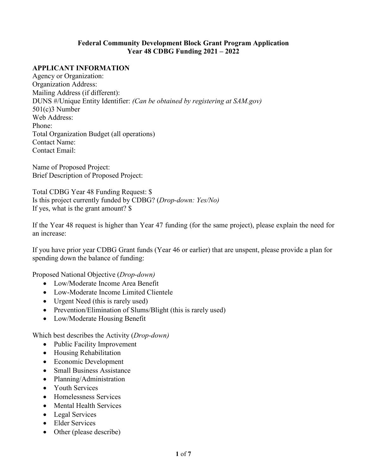### **Federal Community Development Block Grant Program Application Year 48 CDBG Funding 2021 – 2022**

# **APPLICANT INFORMATION**

Agency or Organization: Organization Address: Mailing Address (if different): DUNS #/Unique Entity Identifier: *(Can be obtained by registering at SAM.gov)* 501(c)3 Number Web Address: Phone: Total Organization Budget (all operations) Contact Name: Contact Email:

Name of Proposed Project: Brief Description of Proposed Project:

Total CDBG Year 48 Funding Request: \$ Is this project currently funded by CDBG? (*Drop-down: Yes/No)* If yes, what is the grant amount? \$

If the Year 48 request is higher than Year 47 funding (for the same project), please explain the need for an increase:

If you have prior year CDBG Grant funds (Year 46 or earlier) that are unspent, please provide a plan for spending down the balance of funding:

Proposed National Objective (*Drop-down)*

- Low/Moderate Income Area Benefit
- Low-Moderate Income Limited Clientele
- Urgent Need (this is rarely used)
- Prevention/Elimination of Slums/Blight (this is rarely used)
- Low/Moderate Housing Benefit

Which best describes the Activity (*Drop-down)*

- Public Facility Improvement
- Housing Rehabilitation
- Economic Development
- Small Business Assistance
- Planning/Administration
- Youth Services
- Homelessness Services
- Mental Health Services
- Legal Services
- Elder Services
- Other (please describe)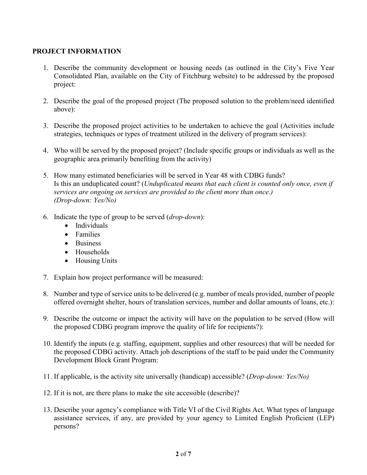# **PROJECT INFORMATION**

- 1. Describe the community development or housing needs (as outlined in the City's Five Year Consolidated Plan, available on the City of Fitchburg website) to be addressed by the proposed project:
- 2. Describe the goal of the proposed project (The proposed solution to the problem/need identified above):
- 3. Describe the proposed project activities to be undertaken to achieve the goal (Activities include strategies, techniques or types of treatment utilized in the delivery of program services):
- 4. Who will be served by the proposed project? (Include specific groups or individuals as well as the geographic area primarily benefiting from the activity)
- 5. How many estimated beneficiaries will be served in Year 48 with CDBG funds? Is this an unduplicated count? (*Unduplicated means that each client is counted only once, even if services are ongoing on services are provided to the client more than once.) (Drop-down: Yes/No)*
- 6. Indicate the type of group to be served (*drop-down*):
	- Individuals
	- Families
	- Business
	- Households
	- Housing Units
- 7. Explain how project performance will be measured:
- 8. Number and type of service units to be delivered (e.g. number of meals provided, number of people offered overnight shelter, hours of translation services, number and dollar amounts of loans, etc.):
- 9. Describe the outcome or impact the activity will have on the population to be served (How will the proposed CDBG program improve the quality of life for recipients?):
- 10. Identify the inputs (e.g. staffing, equipment, supplies and other resources) that will be needed for the proposed CDBG activity. Attach job descriptions of the staff to be paid under the Community Development Block Grant Program:
- 11. If applicable, is the activity site universally (handicap) accessible? (*Drop-down: Yes/No)*
- 12. If it is not, are there plans to make the site accessible (describe)?
- 13. Describe your agency's compliance with Title VI of the Civil Rights Act. What types of language assistance services, if any, are provided by your agency to Limited English Proficient (LEP) persons?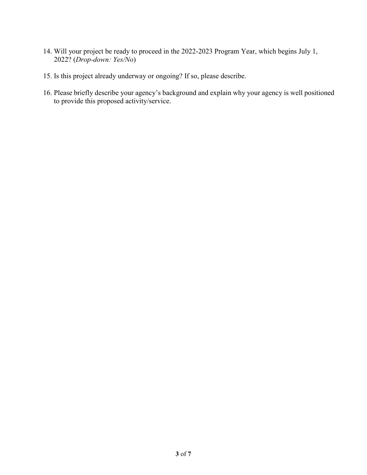- 14. Will your project be ready to proceed in the 2022-2023 Program Year, which begins July 1, 2022? (*Drop-down: Yes/No*)
- 15. Is this project already underway or ongoing? If so, please describe.
- 16. Please briefly describe your agency's background and explain why your agency is well positioned to provide this proposed activity/service.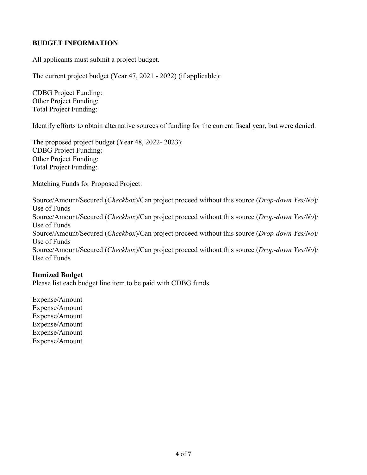# **BUDGET INFORMATION**

All applicants must submit a project budget.

The current project budget (Year 47, 2021 - 2022) (if applicable):

CDBG Project Funding: Other Project Funding: Total Project Funding:

Identify efforts to obtain alternative sources of funding for the current fiscal year, but were denied.

The proposed project budget (Year 48, 2022- 2023): CDBG Project Funding: Other Project Funding: Total Project Funding:

Matching Funds for Proposed Project:

Source/Amount/Secured (*Checkbox*)/Can project proceed without this source (*Drop-down Yes/No*)/ Use of Funds Source/Amount/Secured (*Checkbox*)/Can project proceed without this source (*Drop-down Yes/No*)/ Use of Funds Source/Amount/Secured (*Checkbox*)/Can project proceed without this source (*Drop-down Yes/No*)/ Use of Funds Source/Amount/Secured (*Checkbox*)/Can project proceed without this source (*Drop-down Yes/No*)/ Use of Funds

#### **Itemized Budget**

Please list each budget line item to be paid with CDBG funds

Expense/Amount Expense/Amount Expense/Amount Expense/Amount Expense/Amount Expense/Amount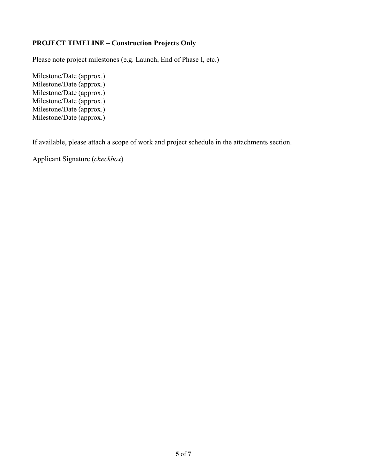# **PROJECT TIMELINE – Construction Projects Only**

Please note project milestones (e.g. Launch, End of Phase I, etc.)

Milestone/Date (approx.) Milestone/Date (approx.) Milestone/Date (approx.) Milestone/Date (approx.) Milestone/Date (approx.) Milestone/Date (approx.)

If available, please attach a scope of work and project schedule in the attachments section.

Applicant Signature (*checkbox*)